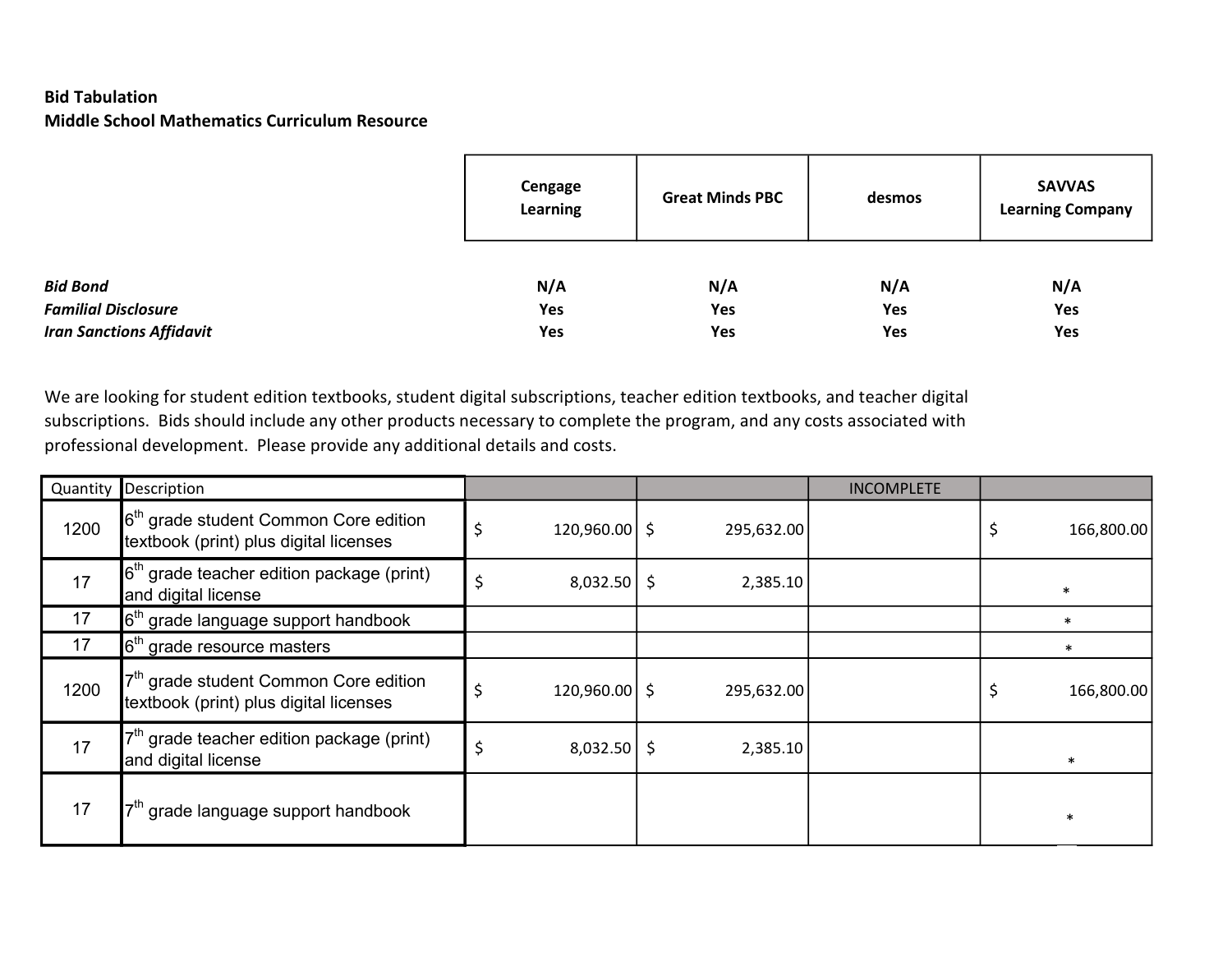## Bid Tabulation Middle School Mathematics Curriculum Resource

|                                 | Cengage<br><b>Learning</b> | <b>Great Minds PBC</b> | desmos | <b>SAVVAS</b><br><b>Learning Company</b> |  |
|---------------------------------|----------------------------|------------------------|--------|------------------------------------------|--|
| <b>Bid Bond</b>                 | N/A                        | N/A                    | N/A    | N/A                                      |  |
| <b>Familial Disclosure</b>      | Yes                        | Yes                    | Yes    | Yes                                      |  |
| <b>Iran Sanctions Affidavit</b> | Yes                        | Yes                    | Yes    | Yes                                      |  |

We are looking for student edition textbooks, student digital subscriptions, teacher edition textbooks, and teacher digital subscriptions. Bids should include any other products necessary to complete the program, and any costs associated with professional development. Please provide any additional details and costs.

|      | Quantity Description                                                                                 |                 |            | <b>INCOMPLETE</b> |   |            |
|------|------------------------------------------------------------------------------------------------------|-----------------|------------|-------------------|---|------------|
| 1200 | $\mathbf{6}^{\text{th}}$ grade student Common Core edition<br>textbook (print) plus digital licenses | $120,960.00$ \$ | 295,632.00 |                   | ⇒ | 166,800.00 |
| 17   | $6th$ grade teacher edition package (print)<br>and digital license                                   | $8,032.50$ \$   | 2,385.10   |                   |   |            |
| 17   | $6th$ grade language support handbook                                                                |                 |            |                   |   |            |
| 17   | grade resource masters                                                                               |                 |            |                   |   |            |
| 1200 | grade student Common Core edition<br>textbook (print) plus digital licenses                          | $120,960.00$ \$ | 295,632.00 |                   | 2 | 166,800.00 |
| 17   | grade teacher edition package (print)<br>and digital license                                         | $8,032.50$ \$   | 2,385.10   |                   |   | $\ast$     |
| 17   | grade language support handbook                                                                      |                 |            |                   |   |            |